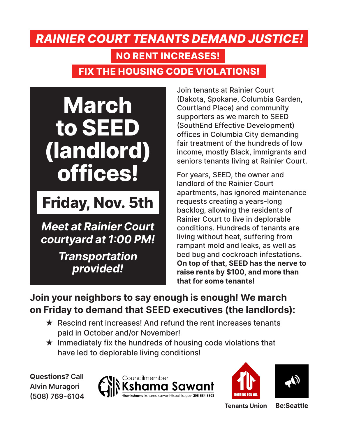## **FIX THE HOUSING CODE VIOLATIONS!** *RAINIER COURT TENANTS DEMAND JUSTICE!* **NO RENT INCREASES!**



## **Friday, Nov. 5th**

*Meet at Rainier Court courtyard at 1:00 PM!*

> *Transportation provided!*

Join tenants at Rainier Court (Dakota, Spokane, Columbia Garden, Courtland Place) and community supporters as we march to SEED (SouthEnd Effective Development) offices in Columbia City demanding fair treatment of the hundreds of low income, mostly Black, immigrants and seniors tenants living at Rainier Court.

For years, SEED, the owner and landlord of the Rainier Court apartments, has ignored maintenance requests creating a years-long backlog, allowing the residents of Rainier Court to live in deplorable conditions. Hundreds of tenants are living without heat, suffering from rampant mold and leaks, as well as bed bug and cockroach infestations. **On top of that, SEED has the nerve to raise rents by \$100, and more than that for some tenants!** 

**Join your neighbors to say enough is enough! We march on Friday to demand that SEED executives (the landlords):**

- $\star$  Rescind rent increases! And refund the rent increases tenants paid in October and/or November!
- $\star$  Immediately fix the hundreds of housing code violations that have led to deplorable living conditions!

**Questions? Call Alvin Muragori (508) 769-6104**







**Tenants Union Be:Seattle**